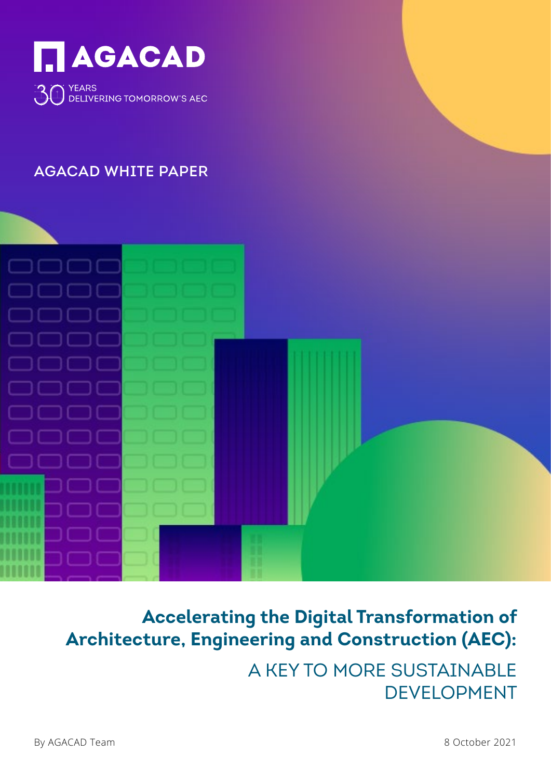

# AGACAD WHITE PAPER



# **Accelerating the Digital Transformation of Architecture, Engineering and Construction (AEC):**

A KEY TO MORE SUSTAINABLE DEVELOPMENT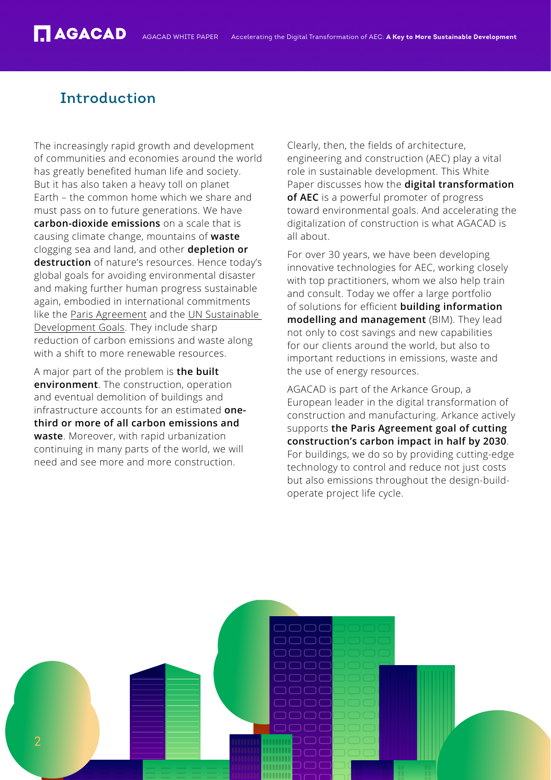# Introduction

The increasingly rapid growth and development of communities and economies around the world has greatly benefited human life and society. But it has also taken a heavy toll on planet Earth – the common home which we share and must pass on to future generations. We have **carbon-dioxide emissions** on a scale that is causing climate change, mountains of **waste** clogging sea and land, and other **depletion or destruction** of nature's resources. Hence today's global goals for avoiding environmental disaster and making further human progress sustainable again, embodied in international commitments like the [Paris Agreement](https://ec.europa.eu/clima/policies/international/negotiations/paris_en) and the [UN Sustainable](https://sdgs.un.org/goals)  [Development Goals.](https://sdgs.un.org/goals) They include sharp reduction of carbon emissions and waste along with a shift to more renewable resources.

A major part of the problem is **the built environment**. The construction, operation and eventual demolition of buildings and infrastructure accounts for an estimated **onethird or more of all carbon emissions and waste**. Moreover, with rapid urbanization continuing in many parts of the world, we will need and see more and more construction.

Clearly, then, the fields of architecture, engineering and construction (AEC) play a vital role in sustainable development. This White Paper discusses how the **digital transformation of AEC** is a powerful promoter of progress toward environmental goals. And accelerating the digitalization of construction is what AGACAD is all about.

For over 30 years, we have been developing innovative technologies for AEC, working closely with top practitioners, whom we also help train and consult. Today we offer a large portfolio of solutions for efficient **building information modelling and management** (BIM). They lead not only to cost savings and new capabilities for our clients around the world, but also to important reductions in emissions, waste and the use of energy resources.

AGACAD is part of the Arkance Group, a European leader in the digital transformation of construction and manufacturing. Arkance actively supports **the Paris Agreement goal of cutting construction's carbon impact in half by 2030**. For buildings, we do so by providing cutting-edge technology to control and reduce not just costs but also emissions throughout the design-buildoperate project life cycle.

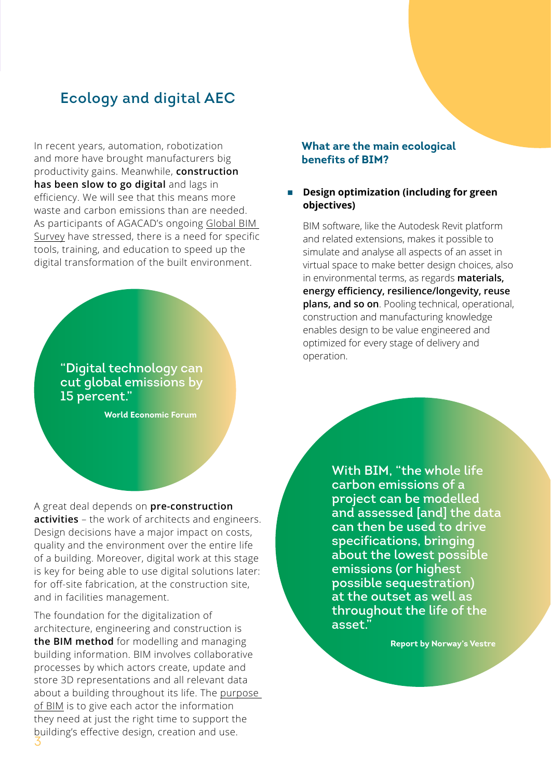# Ecology and digital AEC

In recent years, automation, robotization and more have brought manufacturers big productivity gains. Meanwhile, **construction has been slow to go digital** and lags in efficiency. We will see that this means more waste and carbon emissions than are needed. As participants of AGACAD's ongoing [Global BIM](https://agacad.com/products/tags/agacad-global-bim-survey)  [Survey](https://agacad.com/products/tags/agacad-global-bim-survey) have stressed, there is a need for specific tools, training, and education to speed up the digital transformation of the built environment.

> "Digital technology can cut global emissions by 15 percent."

> > **World Economic Forum**

A great deal depends on **pre-construction activities** – the work of architects and engineers. Design decisions have a major impact on costs, quality and the environment over the entire life of a building. Moreover, digital work at this stage is key for being able to use digital solutions later: for off-site fabrication, at the construction site, and in facilities management.

3 The foundation for the digitalization of architecture, engineering and construction is **the BIM method** for modelling and managing building information. BIM involves collaborative processes by which actors create, update and store 3D representations and all relevant data about a building throughout its life. The [purpose](http://www.bimaxon.com/what-is-bim/)  [of BIM](http://www.bimaxon.com/what-is-bim/) is to give each actor the information they need at just the right time to support the building's effective design, creation and use.

#### **What are the main ecological benefits of BIM?**

#### **n** Design optimization (including for green **objectives)**

BIM software, like the Autodesk Revit platform and related extensions, makes it possible to simulate and analyse all aspects of an asset in virtual space to make better design choices, also in environmental terms, as regards **materials, energy efficiency, resilience/longevity, reuse plans, and so on**. Pooling technical, operational, construction and manufacturing knowledge enables design to be value engineered and optimized for every stage of delivery and operation.

> With BIM, "the whole life carbon emissions of a project can be modelled and assessed [and] the data can then be used to drive specifications, bringing about the lowest possible emissions (or highest possible sequestration) at the outset as well as throughout the life of the asset.'

> > **Report by Norway's Vestre**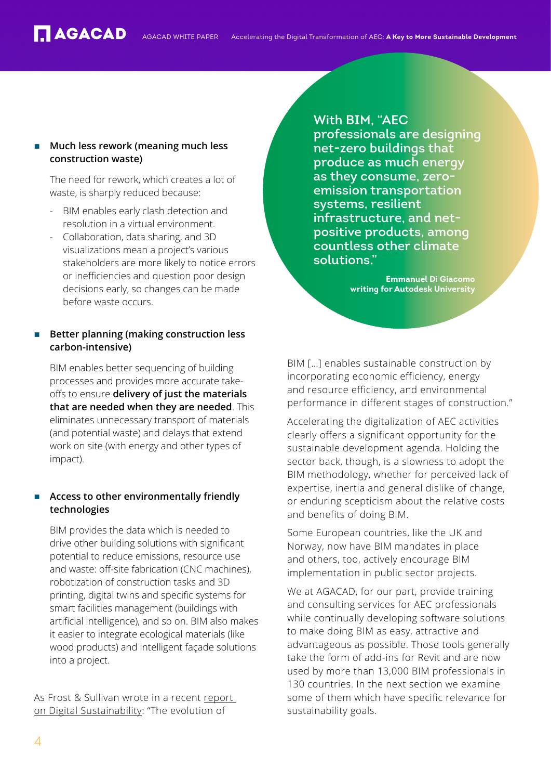### **Much less rework (meaning much less construction waste)**

The need for rework, which creates a lot of waste, is sharply reduced because:

- BIM enables early clash detection and resolution in a virtual environment.
- Collaboration, data sharing, and 3D visualizations mean a project's various stakeholders are more likely to notice errors or inefficiencies and question poor design decisions early, so changes can be made before waste occurs.

### **Better planning (making construction less carbon-intensive)**

BIM enables better sequencing of building processes and provides more accurate takeoffs to ensure **delivery of just the materials that are needed when they are needed**. This eliminates unnecessary transport of materials (and potential waste) and delays that extend work on site (with energy and other types of impact).

# Access to other environmentally friendly **technologies**

BIM provides the data which is needed to drive other building solutions with significant potential to reduce emissions, resource use and waste: off-site fabrication (CNC machines), robotization of construction tasks and 3D printing, digital twins and specific systems for smart facilities management (buildings with artificial intelligence), and so on. BIM also makes it easier to integrate ecological materials (like wood products) and intelligent façade solutions into a project.

As Frost & Sullivan wrote in a recent [report](https://damassets.autodesk.net/content/dam/autodesk/www/campaigns/emea/docs/FrostandSullivan_Autodesk_DigitalSustainability.pdf)  [on Digital Sustainability](https://damassets.autodesk.net/content/dam/autodesk/www/campaigns/emea/docs/FrostandSullivan_Autodesk_DigitalSustainability.pdf): "The evolution of

# With BIM, "AEC professionals are designing net-zero buildings that produce as much energy

as they consume, zeroemission transportation systems, resilient infrastructure, and netpositive products, among countless other climate solutions."

> **Emmanuel Di Giacomo writing for Autodesk University**

BIM […] enables sustainable construction by incorporating economic efficiency, energy and resource efficiency, and environmental performance in different stages of construction."

Accelerating the digitalization of AEC activities clearly offers a significant opportunity for the sustainable development agenda. Holding the sector back, though, is a slowness to adopt the BIM methodology, whether for perceived lack of expertise, inertia and general dislike of change, or enduring scepticism about the relative costs and benefits of doing BIM.

Some European countries, like the UK and Norway, now have BIM mandates in place and others, too, actively encourage BIM implementation in public sector projects.

We at AGACAD, for our part, provide training and consulting services for AEC professionals while continually developing software solutions to make doing BIM as easy, attractive and advantageous as possible. Those tools generally take the form of add-ins for Revit and are now used by more than 13,000 BIM professionals in 130 countries. In the next section we examine some of them which have specific relevance for sustainability goals.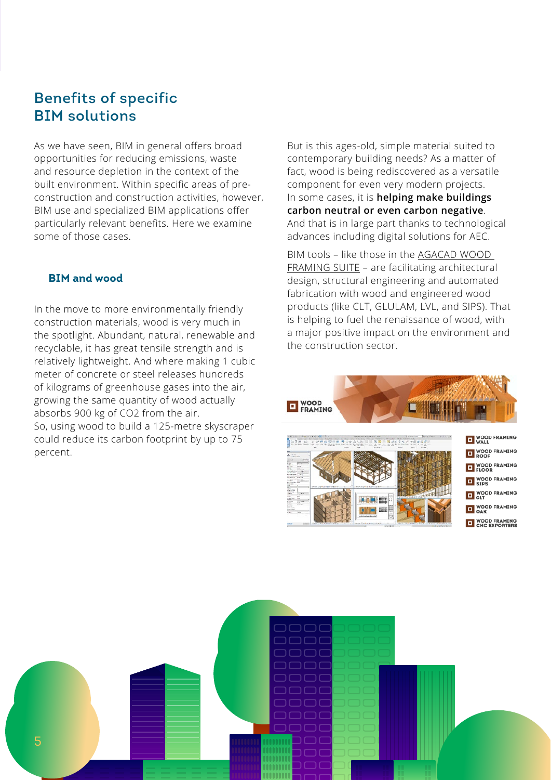# Benefits of specific BIM solutions

As we have seen, BIM in general offers broad opportunities for reducing emissions, waste and resource depletion in the context of the built environment. Within specific areas of preconstruction and construction activities, however, BIM use and specialized BIM applications offer particularly relevant benefits. Here we examine some of those cases.

### **BIM and wood**

In the move to more environmentally friendly construction materials, wood is very much in the spotlight. Abundant, natural, renewable and recyclable, it has great tensile strength and is relatively lightweight. And where making 1 cubic meter of concrete or steel releases hundreds of kilograms of greenhouse gases into the air, growing the same quantity of wood actually absorbs 900 kg of CO2 from the air. So, using wood to build a 125-metre skyscraper could reduce its carbon footprint by up to 75 percent.

But is this ages-old, simple material suited to contemporary building needs? As a matter of fact, wood is being rediscovered as a versatile component for even very modern projects. In some cases, it is **helping make buildings carbon neutral or even carbon negative**. And that is in large part thanks to technological advances including digital solutions for AEC.

BIM tools – like those in the [AGACAD WOOD](https://agacad.com/products/bim-solutions/wood-framing-professional-suite/overview)  [FRAMING SUITE](https://agacad.com/products/bim-solutions/wood-framing-professional-suite/overview) – are facilitating architectural design, structural engineering and automated fabrication with wood and engineered wood products (like CLT, GLULAM, LVL, and SIPS). That is helping to fuel the renaissance of wood, with a major positive impact on the environment and the construction sector.



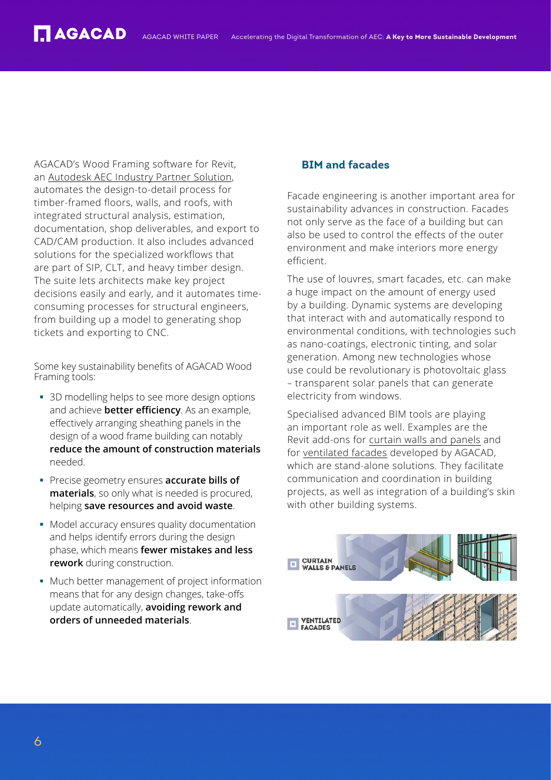AGACAD's Wood Framing software for Revit, an [Autodesk AEC Industry Partner Solution,](https://aecpartners.autodesk.com/AGACAD/AGACAD+Wood+Framing/) automates the design-to-detail process for timber-framed floors, walls, and roofs, with integrated structural analysis, estimation, documentation, shop deliverables, and export to CAD/CAM production. It also includes advanced solutions for the specialized workflows that are part of SIP, CLT, and heavy timber design. The suite lets architects make key project decisions easily and early, and it automates timeconsuming processes for structural engineers, from building up a model to generating shop tickets and exporting to CNC.

Some key sustainability benefits of AGACAD Wood Framing tools:

- 3D modelling helps to see more design options and achieve **better efficiency**. As an example, effectively arranging sheathing panels in the design of a wood frame building can notably **reduce the amount of construction materials** needed.
- § Precise geometry ensures **accurate bills of materials**, so only what is needed is procured, helping **save resources and avoid waste**.
- Model accuracy ensures quality documentation and helps identify errors during the design phase, which means **fewer mistakes and less rework** during construction.
- Much better management of project information means that for any design changes, take-offs update automatically, **avoiding rework and orders of unneeded materials**.

### **BIM and facades**

Facade engineering is another important area for sustainability advances in construction. Facades not only serve as the face of a building but can also be used to control the effects of the outer environment and make interiors more energy efficient.

The use of louvres, smart facades, etc. can make a huge impact on the amount of energy used by a building. Dynamic systems are developing that interact with and automatically respond to environmental conditions, with technologies such as nano-coatings, electronic tinting, and solar generation. Among new technologies whose use could be revolutionary is photovoltaic glass – transparent solar panels that can generate electricity from windows.

Specialised advanced BIM tools are playing an important role as well. Examples are the Revit add-ons for [curtain walls and panels](https://agacad.com/products/bim-solutions/curtain-walls/overview) and for [ventilated facades](https://agacad.com/products/bim-solutions/ventilated-facades/overview) developed by AGACAD, which are stand-alone solutions. They facilitate communication and coordination in building projects, as well as integration of a building's skin with other building systems.

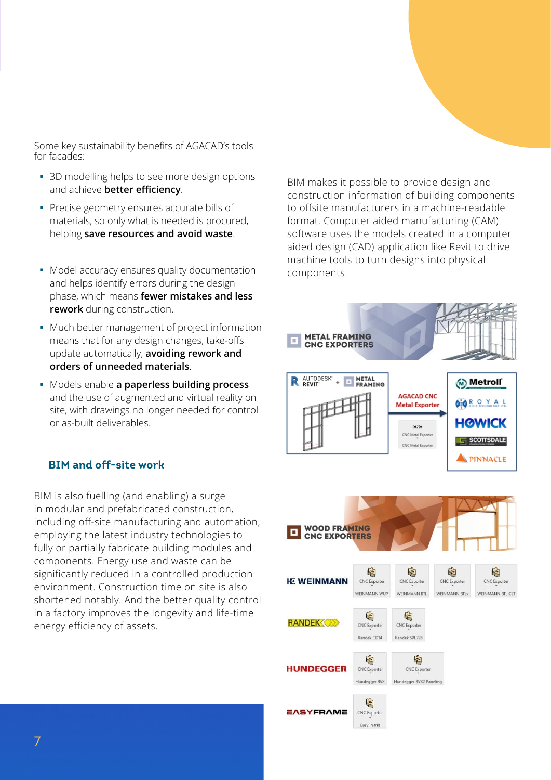Some key sustainability benefits of AGACAD's tools for facades:

- 3D modelling helps to see more design options and achieve **better efficiency**.
- § Precise geometry ensures accurate bills of materials, so only what is needed is procured, helping **save resources and avoid waste**.
- Model accuracy ensures quality documentation and helps identify errors during the design phase, which means **fewer mistakes and less rework** during construction.
- Much better management of project information means that for any design changes, take-offs update automatically, **avoiding rework and orders of unneeded materials**.
- § Models enable **a paperless building process** and the use of augmented and virtual reality on site, with drawings no longer needed for control or as-built deliverables.

### **BIM and off-site work**

BIM is also fuelling (and enabling) a surge in modular and prefabricated construction, including off-site manufacturing and automation, employing the latest industry technologies to fully or partially fabricate building modules and components. Energy use and waste can be significantly reduced in a controlled production environment. Construction time on site is also shortened notably. And the better quality control in a factory improves the longevity and life-time energy efficiency of assets.

BIM makes it possible to provide design and construction information of building components to offsite manufacturers in a machine-readable format. Computer aided manufacturing (CAM) software uses the models created in a computer aided design (CAD) application like Revit to drive machine tools to turn designs into physical components.

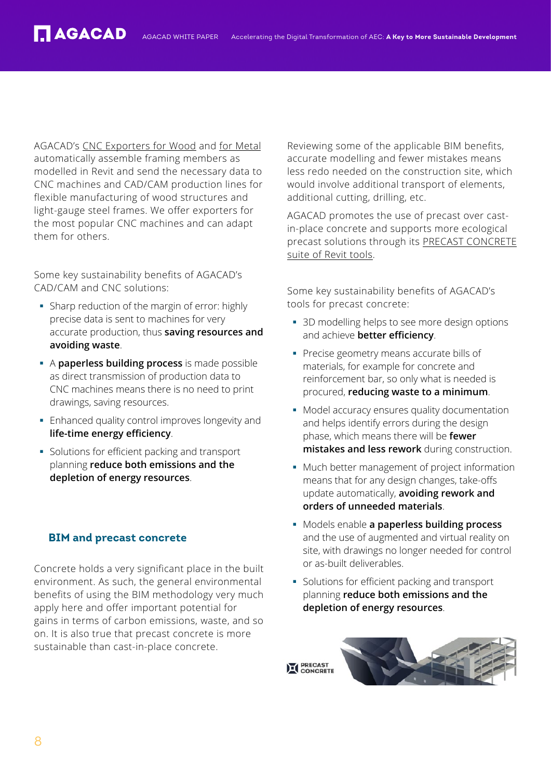AGACAD's [CNC Exporters for Wood](https://agacad.com/products/bim-solutions/wood-framing-cnc-exporters/overview) and [for Metal](https://agacad.com/products/bim-solutions/metal-framing-cnc-exporters/overview) automatically assemble framing members as modelled in Revit and send the necessary data to CNC machines and CAD/CAM production lines for flexible manufacturing of wood structures and light-gauge steel frames. We offer exporters for the most popular CNC machines and can adapt them for others.

Some key sustainability benefits of AGACAD's CAD/CAM and CNC solutions:

- Sharp reduction of the margin of error: highly precise data is sent to machines for very accurate production, thus **saving resources and avoiding waste**.
- § A **paperless building process** is made possible as direct transmission of production data to CNC machines means there is no need to print drawings, saving resources.
- Enhanced quality control improves longevity and **life-time energy efficiency**.
- § Solutions for efficient packing and transport planning **reduce both emissions and the depletion of energy resources**.

# **BIM and precast concrete**

Concrete holds a very significant place in the built environment. As such, the general environmental benefits of using the BIM methodology very much apply here and offer important potential for gains in terms of carbon emissions, waste, and so on. It is also true that precast concrete is more sustainable than cast-in-place concrete.

Reviewing some of the applicable BIM benefits, accurate modelling and fewer mistakes means less redo needed on the construction site, which would involve additional transport of elements, additional cutting, drilling, etc.

AGACAD promotes the use of precast over castin-place concrete and supports more ecological precast solutions through its [PRECAST CONCRETE](https://agacad.com/products/bim-solutions/precast-concrete/overview) [suite of Revit tools.](https://agacad.com/products/bim-solutions/precast-concrete/overview)

Some key sustainability benefits of AGACAD's tools for precast concrete:

- 3D modelling helps to see more design options and achieve **better efficiency**.
- § Precise geometry means accurate bills of materials, for example for concrete and reinforcement bar, so only what is needed is procured, **reducing waste to a minimum**.
- Model accuracy ensures quality documentation and helps identify errors during the design phase, which means there will be **fewer mistakes and less rework** during construction.
- Much better management of project information means that for any design changes, take-offs update automatically, **avoiding rework and orders of unneeded materials**.
- § Models enable **a paperless building process** and the use of augmented and virtual reality on site, with drawings no longer needed for control or as-built deliverables.
- § Solutions for efficient packing and transport planning **reduce both emissions and the depletion of energy resources**.

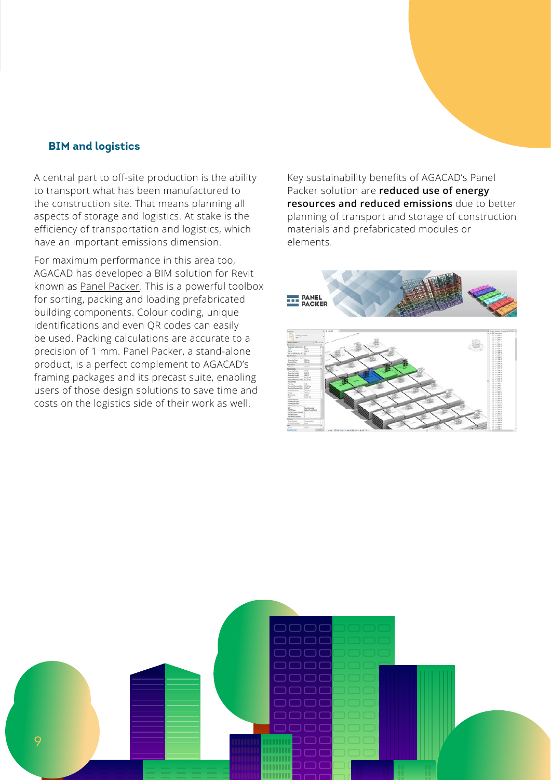#### **BIM and logistics**

A central part to off-site production is the ability to transport what has been manufactured to the construction site. That means planning all aspects of storage and logistics. At stake is the efficiency of transportation and logistics, which have an important emissions dimension.

For maximum performance in this area too, AGACAD has developed a BIM solution for Revit known as [Panel Packer.](https://agacad.com/products/bim-solutions/panel-packer/overview) This is a powerful toolbox for sorting, packing and loading prefabricated building components. Colour coding, unique identifications and even QR codes can easily be used. Packing calculations are accurate to a precision of 1 mm. Panel Packer, a stand-alone product, is a perfect complement to AGACAD's framing packages and its precast suite, enabling users of those design solutions to save time and costs on the logistics side of their work as well.

Key sustainability benefits of AGACAD's Panel Packer solution are **reduced use of energy resources and reduced emissions** due to better planning of transport and storage of construction materials and prefabricated modules or elements.



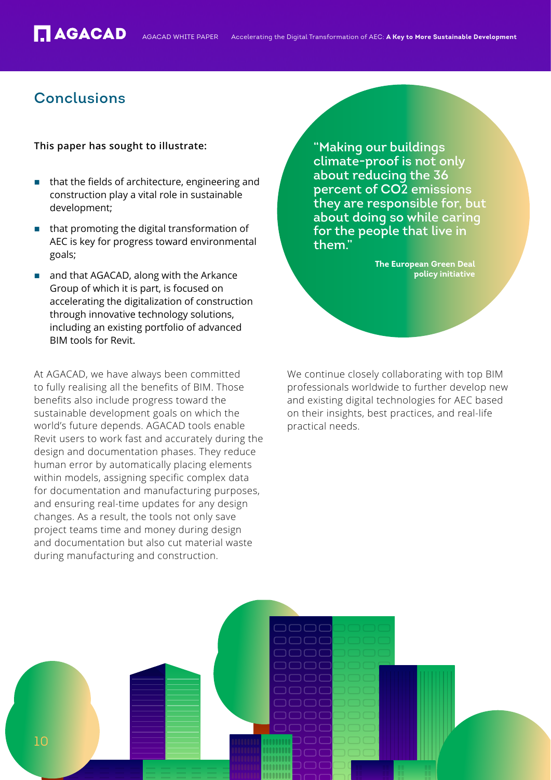# Conclusions

#### **This paper has sought to illustrate:**

- that the fields of architecture, engineering and construction play a vital role in sustainable development;
- that promoting the digital transformation of AEC is key for progress toward environmental goals;
- and that AGACAD, along with the Arkance Group of which it is part, is focused on accelerating the digitalization of construction through innovative technology solutions, including an existing portfolio of advanced BIM tools for Revit.

At AGACAD, we have always been committed to fully realising all the benefits of BIM. Those benefits also include progress toward the sustainable development goals on which the world's future depends. AGACAD tools enable Revit users to work fast and accurately during the design and documentation phases. They reduce human error by automatically placing elements within models, assigning specific complex data for documentation and manufacturing purposes, and ensuring real-time updates for any design changes. As a result, the tools not only save project teams time and money during design and documentation but also cut material waste during manufacturing and construction.

"Making our buildings climate-proof is not only about reducing the 36 percent of CO2 emissions they are responsible for, but about doing so while caring for the people that live in them."

> **The European Green Deal policy initiative**

We continue closely collaborating with top BIM professionals worldwide to further develop new and existing digital technologies for AEC based on their insights, best practices, and real-life practical needs.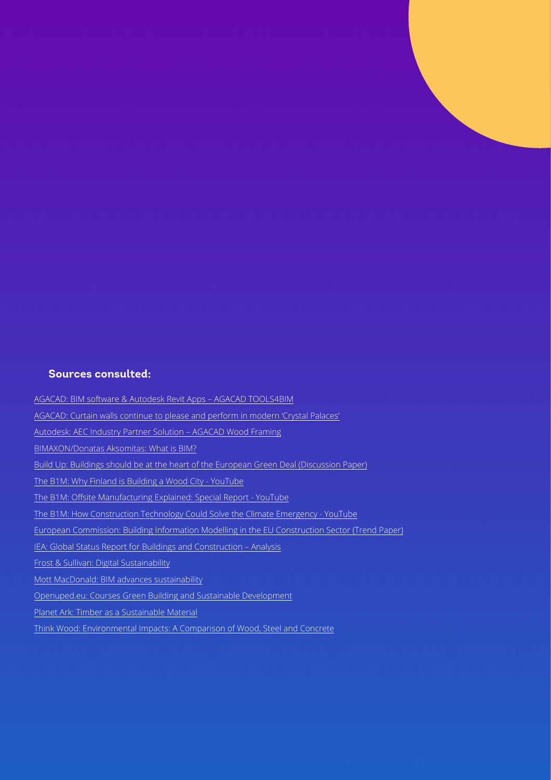#### **Sources consulted:**

[AGACAD: BIM software & Autodesk Revit Apps – AGACAD TOOLS4BIM](https://agacad.com/)

[AGACAD: Curtain walls continue to please and perform in modern 'Crystal Palaces'](https://agacad.com/blog/curtain-walls-modern-crystal-palaces)

[Autodesk: AEC Industry Partner Solution – AGACAD Wood Framing](https://aecpartners.autodesk.com/AGACAD/AGACAD+Wood+Framing/)

[BIMAXON/Donatas Aksomitas: What is BIM?](http://www.bimaxon.com/what-is-bim/)

[Build Up: Buildings should be at the heart of the European Green Deal \(Discussion Paper\)](https://www.construction21.org/articles/h/buildings-should-be-at-the-heart-of-the-european-green-deal-discussion-paper.html)

[The B1M: Why Finland is Building a Wood City - YouTube](https://www.youtube.com/watch?v=L4QYkEpw9pA)

[The B1M: Offsite Manufacturing Explained: Special Report - YouTube](https://www.youtube.com/watch?v=v01LqrgJjJ0&t=1858s)

[The B1M: How Construction Technology Could Solve the Climate Emergency - YouTube](https://www.youtube.com/watch?v=OjGkrwP7DMc)

[European Commission: Building Information Modelling in the EU Construction Sector \(Trend Paper\)](https://ec.europa.eu/docsroom/documents/34518)

[IEA: Global Status Report for Buildings and Construction – Analysis](https://www.iea.org/reports/global-status-report-for-buildings-and-construction-2019)

[Frost & Sullivan: Digital Sustainability](https://damassets.autodesk.net/content/dam/autodesk/www/campaigns/emea/docs/FrostandSullivan_Autodesk_DigitalSustainability.pdf)

[Mott MacDonald: BIM advances sustainability](https://www.mottmac.com/views/bim-advances-sustainability)

[Openuped.eu: Courses Green Building and Sustainable Development](https://openuped.eu/courses/details/4/447-green-building-and-sustainable-development)

[Planet Ark: Timber as a Sustainable Material](https://makeitwood.org/documents/doc-692-timber-as-a-sustainable-material.pdf)

[Think Wood: Environmental Impacts: A Comparison of Wood, Steel and Concrete](https://www.thinkwood.com/blog/made-environmental-impacts-comparison-wood-steel-concrete)